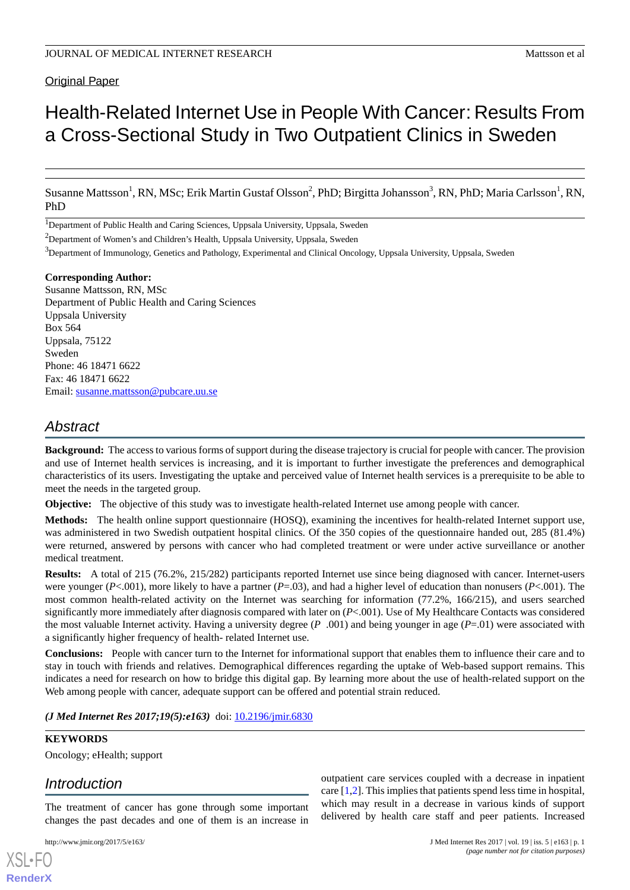### **Original Paper**

# Health-Related Internet Use in People With Cancer: Results From a Cross-Sectional Study in Two Outpatient Clinics in Sweden

Susanne Mattsson<sup>1</sup>, RN, MSc; Erik Martin Gustaf Olsson<sup>2</sup>, PhD; Birgitta Johansson<sup>3</sup>, RN, PhD; Maria Carlsson<sup>1</sup>, RN, PhD

<sup>1</sup>Department of Public Health and Caring Sciences, Uppsala University, Uppsala, Sweden

<sup>2</sup>Department of Women's and Children's Health, Uppsala University, Uppsala, Sweden

<sup>3</sup>Department of Immunology, Genetics and Pathology, Experimental and Clinical Oncology, Uppsala University, Uppsala, Sweden

### **Corresponding Author:**

Susanne Mattsson, RN, MSc Department of Public Health and Caring Sciences Uppsala University Box 564 Uppsala, 75122 Sweden Phone: 46 18471 6622 Fax: 46 18471 6622 Email: [susanne.mattsson@pubcare.uu.se](mailto:susanne.mattsson@pubcare.uu.se)

## *Abstract*

**Background:** The access to various forms of support during the disease trajectory is crucial for people with cancer. The provision and use of Internet health services is increasing, and it is important to further investigate the preferences and demographical characteristics of its users. Investigating the uptake and perceived value of Internet health services is a prerequisite to be able to meet the needs in the targeted group.

**Objective:** The objective of this study was to investigate health-related Internet use among people with cancer.

**Methods:** The health online support questionnaire (HOSQ), examining the incentives for health-related Internet support use, was administered in two Swedish outpatient hospital clinics. Of the 350 copies of the questionnaire handed out, 285 (81.4%) were returned, answered by persons with cancer who had completed treatment or were under active surveillance or another medical treatment.

**Results:** A total of 215 (76.2%, 215/282) participants reported Internet use since being diagnosed with cancer. Internet-users were younger (*P*<.001), more likely to have a partner (*P*=.03), and had a higher level of education than nonusers (*P*<.001). The most common health-related activity on the Internet was searching for information (77.2%, 166/215), and users searched significantly more immediately after diagnosis compared with later on (*P*<.001). Use of My Healthcare Contacts was considered the most valuable Internet activity. Having a university degree (*P* .001) and being younger in age (*P*=.01) were associated with a significantly higher frequency of health- related Internet use.

**Conclusions:** People with cancer turn to the Internet for informational support that enables them to influence their care and to stay in touch with friends and relatives. Demographical differences regarding the uptake of Web-based support remains. This indicates a need for research on how to bridge this digital gap. By learning more about the use of health-related support on the Web among people with cancer, adequate support can be offered and potential strain reduced.

*(J Med Internet Res 2017;19(5):e163)* doi:  $10.2196/$ jmir.6830

### **KEYWORDS**

Oncology; eHealth; support

### *Introduction*

The treatment of cancer has gone through some important changes the past decades and one of them is an increase in

[XSL](http://www.w3.org/Style/XSL)•FO **[RenderX](http://www.renderx.com/)**

outpatient care services coupled with a decrease in inpatient care [[1,](#page-7-0)[2](#page-7-1)]. This implies that patients spend less time in hospital, which may result in a decrease in various kinds of support delivered by health care staff and peer patients. Increased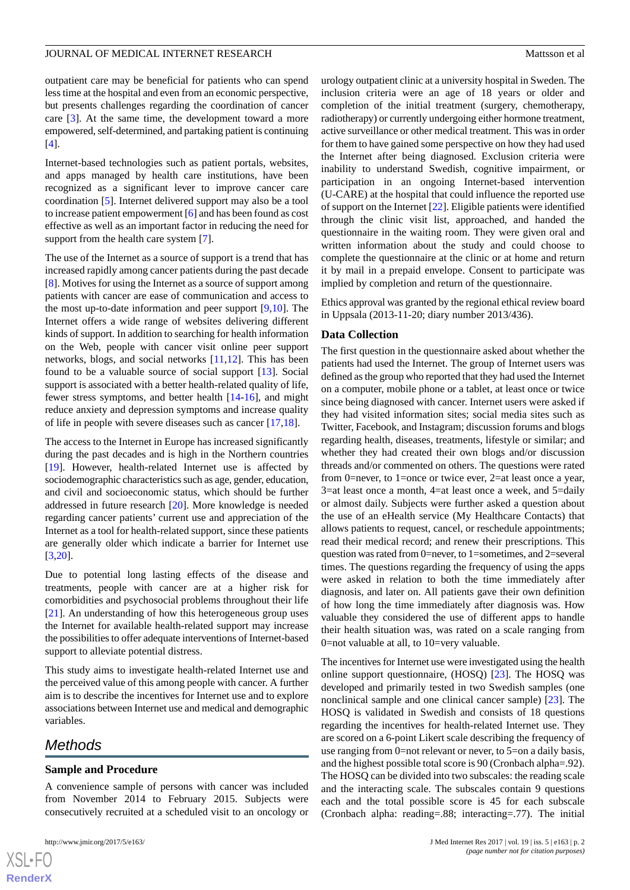### JOURNAL OF MEDICAL INTERNET RESEARCH MATTER AND THE MATTER OF ALL AND MATTER OF ALL AND MATTERNET RESEARCH

outpatient care may be beneficial for patients who can spend less time at the hospital and even from an economic perspective, but presents challenges regarding the coordination of cancer care [\[3](#page-7-2)]. At the same time, the development toward a more empowered, self-determined, and partaking patient is continuing [[4\]](#page-7-3).

Internet-based technologies such as patient portals, websites, and apps managed by health care institutions, have been recognized as a significant lever to improve cancer care coordination [\[5](#page-7-4)]. Internet delivered support may also be a tool to increase patient empowerment [[6\]](#page-7-5) and has been found as cost effective as well as an important factor in reducing the need for support from the health care system [\[7](#page-7-6)].

The use of the Internet as a source of support is a trend that has increased rapidly among cancer patients during the past decade [[8\]](#page-7-7). Motives for using the Internet as a source of support among patients with cancer are ease of communication and access to the most up-to-date information and peer support [[9,](#page-7-8)[10](#page-7-9)]. The Internet offers a wide range of websites delivering different kinds of support. In addition to searching for health information on the Web, people with cancer visit online peer support networks, blogs, and social networks [\[11](#page-7-10),[12\]](#page-8-0). This has been found to be a valuable source of social support [[13\]](#page-8-1). Social support is associated with a better health-related quality of life, fewer stress symptoms, and better health [[14-](#page-8-2)[16\]](#page-8-3), and might reduce anxiety and depression symptoms and increase quality of life in people with severe diseases such as cancer [\[17](#page-8-4),[18\]](#page-8-5).

The access to the Internet in Europe has increased significantly during the past decades and is high in the Northern countries [[19\]](#page-8-6). However, health-related Internet use is affected by sociodemographic characteristics such as age, gender, education, and civil and socioeconomic status, which should be further addressed in future research [[20\]](#page-8-7). More knowledge is needed regarding cancer patients' current use and appreciation of the Internet as a tool for health-related support, since these patients are generally older which indicate a barrier for Internet use [[3](#page-7-2)[,20](#page-8-7)].

Due to potential long lasting effects of the disease and treatments, people with cancer are at a higher risk for comorbidities and psychosocial problems throughout their life [[21\]](#page-8-8). An understanding of how this heterogeneous group uses the Internet for available health-related support may increase the possibilities to offer adequate interventions of Internet-based support to alleviate potential distress.

This study aims to investigate health-related Internet use and the perceived value of this among people with cancer. A further aim is to describe the incentives for Internet use and to explore associations between Internet use and medical and demographic variables.

### *Methods*

### **Sample and Procedure**

A convenience sample of persons with cancer was included from November 2014 to February 2015. Subjects were consecutively recruited at a scheduled visit to an oncology or

urology outpatient clinic at a university hospital in Sweden. The inclusion criteria were an age of 18 years or older and completion of the initial treatment (surgery, chemotherapy, radiotherapy) or currently undergoing either hormone treatment, active surveillance or other medical treatment. This was in order for them to have gained some perspective on how they had used the Internet after being diagnosed. Exclusion criteria were inability to understand Swedish, cognitive impairment, or participation in an ongoing Internet-based intervention (U-CARE) at the hospital that could influence the reported use of support on the Internet [[22\]](#page-8-9). Eligible patients were identified through the clinic visit list, approached, and handed the questionnaire in the waiting room. They were given oral and written information about the study and could choose to complete the questionnaire at the clinic or at home and return it by mail in a prepaid envelope. Consent to participate was implied by completion and return of the questionnaire.

Ethics approval was granted by the regional ethical review board in Uppsala (2013-11-20; diary number 2013/436).

#### **Data Collection**

The first question in the questionnaire asked about whether the patients had used the Internet. The group of Internet users was defined as the group who reported that they had used the Internet on a computer, mobile phone or a tablet, at least once or twice since being diagnosed with cancer. Internet users were asked if they had visited information sites; social media sites such as Twitter, Facebook, and Instagram; discussion forums and blogs regarding health, diseases, treatments, lifestyle or similar; and whether they had created their own blogs and/or discussion threads and/or commented on others. The questions were rated from 0=never, to 1=once or twice ever, 2=at least once a year, 3=at least once a month, 4=at least once a week, and 5=daily or almost daily. Subjects were further asked a question about the use of an eHealth service (My Healthcare Contacts) that allows patients to request, cancel, or reschedule appointments; read their medical record; and renew their prescriptions. This question was rated from 0=never, to 1=sometimes, and 2=several times. The questions regarding the frequency of using the apps were asked in relation to both the time immediately after diagnosis, and later on. All patients gave their own definition of how long the time immediately after diagnosis was. How valuable they considered the use of different apps to handle their health situation was, was rated on a scale ranging from 0=not valuable at all, to 10=very valuable.

The incentives for Internet use were investigated using the health online support questionnaire, (HOSQ) [\[23](#page-8-10)]. The HOSQ was developed and primarily tested in two Swedish samples (one nonclinical sample and one clinical cancer sample) [\[23](#page-8-10)]. The HOSQ is validated in Swedish and consists of 18 questions regarding the incentives for health-related Internet use. They are scored on a 6-point Likert scale describing the frequency of use ranging from 0=not relevant or never, to 5=on a daily basis, and the highest possible total score is 90 (Cronbach alpha=.92). The HOSQ can be divided into two subscales: the reading scale and the interacting scale. The subscales contain 9 questions each and the total possible score is 45 for each subscale (Cronbach alpha: reading=.88; interacting=.77). The initial

```
XS-FO
RenderX
```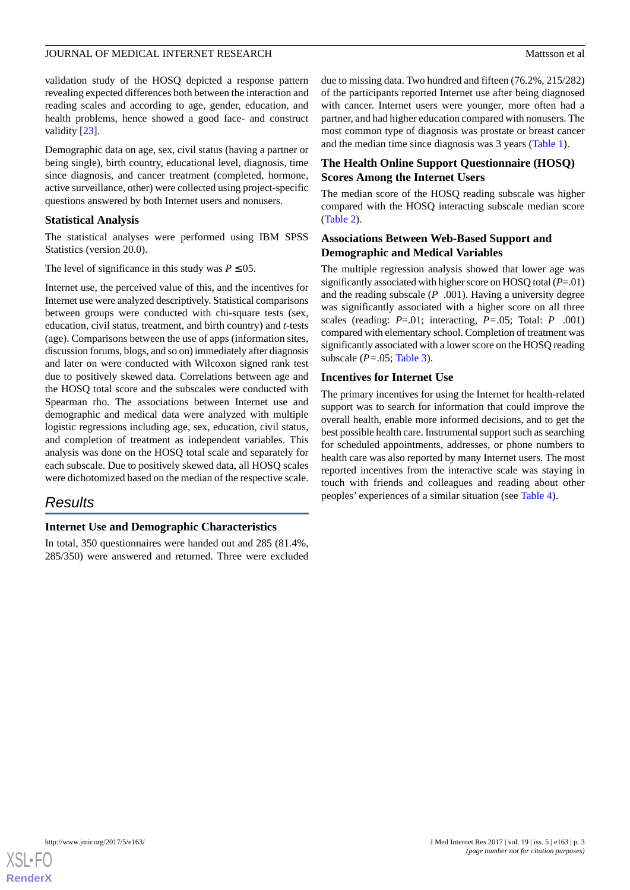### JOURNAL OF MEDICAL INTERNET RESEARCH MATTER AND THE MATTER OF ALL AND MATTER OF ALL AND MATTERNET RESEARCH

validation study of the HOSQ depicted a response pattern revealing expected differences both between the interaction and reading scales and according to age, gender, education, and health problems, hence showed a good face- and construct validity [[23\]](#page-8-10).

Demographic data on age, sex, civil status (having a partner or being single), birth country, educational level, diagnosis, time since diagnosis, and cancer treatment (completed, hormone, active surveillance, other) were collected using project-specific questions answered by both Internet users and nonusers.

### **Statistical Analysis**

The statistical analyses were performed using IBM SPSS Statistics (version 20.0).

The level of significance in this study was  $P \le 0.05$ .

Internet use, the perceived value of this, and the incentives for Internet use were analyzed descriptively. Statistical comparisons between groups were conducted with chi-square tests (sex, education, civil status, treatment, and birth country) and *t*-tests (age). Comparisons between the use of apps (information sites, discussion forums, blogs, and so on) immediately after diagnosis and later on were conducted with Wilcoxon signed rank test due to positively skewed data. Correlations between age and the HOSQ total score and the subscales were conducted with Spearman rho. The associations between Internet use and demographic and medical data were analyzed with multiple logistic regressions including age, sex, education, civil status, and completion of treatment as independent variables. This analysis was done on the HOSQ total scale and separately for each subscale. Due to positively skewed data, all HOSQ scales were dichotomized based on the median of the respective scale.

### *Results*

### **Internet Use and Demographic Characteristics**

In total, 350 questionnaires were handed out and 285 (81.4%, 285/350) were answered and returned. Three were excluded due to missing data. Two hundred and fifteen (76.2%, 215/282) of the participants reported Internet use after being diagnosed with cancer. Internet users were younger, more often had a partner, and had higher education compared with nonusers. The most common type of diagnosis was prostate or breast cancer and the median time since diagnosis was 3 years [\(Table 1\)](#page-3-0).

### **The Health Online Support Questionnaire (HOSQ) Scores Among the Internet Users**

The median score of the HOSQ reading subscale was higher compared with the HOSQ interacting subscale median score ([Table 2](#page-4-0)).

### **Associations Between Web-Based Support and Demographic and Medical Variables**

The multiple regression analysis showed that lower age was significantly associated with higher score on HOSQ total (*P*=.01) and the reading subscale (*P* .001). Having a university degree was significantly associated with a higher score on all three scales (reading: *P*=.01; interacting, *P=*.05; Total: *P* .001) compared with elementary school. Completion of treatment was significantly associated with a lower score on the HOSQ reading subscale (*P=*.05; [Table 3\)](#page-4-1).

### **Incentives for Internet Use**

The primary incentives for using the Internet for health-related support was to search for information that could improve the overall health, enable more informed decisions, and to get the best possible health care. Instrumental support such as searching for scheduled appointments, addresses, or phone numbers to health care was also reported by many Internet users. The most reported incentives from the interactive scale was staying in touch with friends and colleagues and reading about other peoples' experiences of a similar situation (see [Table 4\)](#page-5-0).

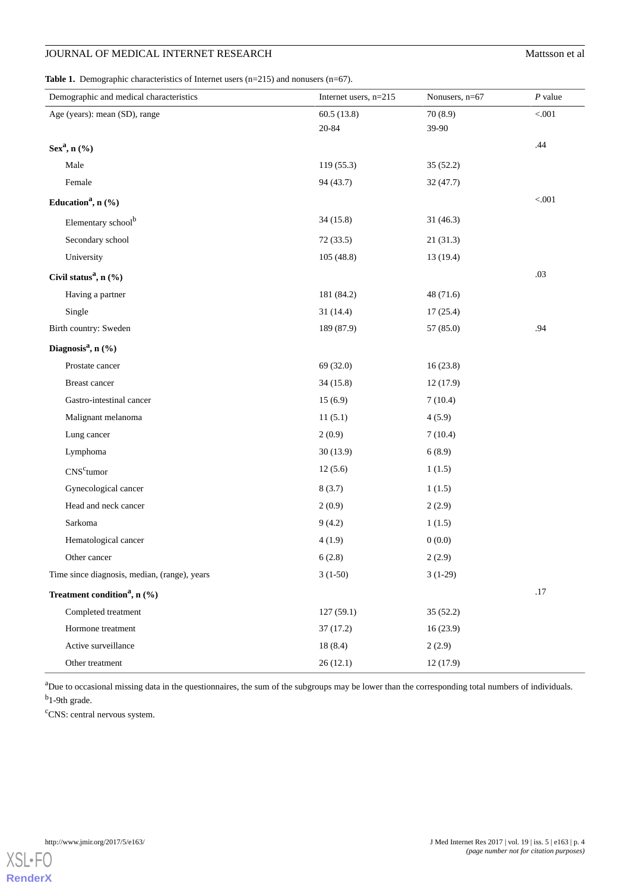### **JOURNAL OF MEDICAL INTERNET RESEARCH MATTER MATTER INC.** Mattsson et al.

<span id="page-3-0"></span>**Table 1.** Demographic characteristics of Internet users (n=215) and nonusers (n=67).

| Demographic and medical characteristics      | Internet users, $n=215$ | Nonusers, n=67 | $P$ value |
|----------------------------------------------|-------------------------|----------------|-----------|
| Age (years): mean (SD), range                | 60.5(13.8)              | 70(8.9)        | $< 001$   |
|                                              | 20-84                   | 39-90          |           |
| $Sex^a, n\,(\%)$                             |                         |                | .44       |
| Male                                         | 119 (55.3)              | 35(52.2)       |           |
| Female                                       | 94 (43.7)               | 32 (47.7)      |           |
| Education <sup>a</sup> , n $(\% )$           |                         |                | $< 001$   |
| Elementary school <sup>b</sup>               | 34(15.8)                | 31(46.3)       |           |
| Secondary school                             | 72(33.5)                | 21(31.3)       |           |
| University                                   | 105(48.8)               | 13(19.4)       |           |
| Civil status <sup>a</sup> , n (%)            |                         |                | .03       |
| Having a partner                             | 181 (84.2)              | 48(71.6)       |           |
| Single                                       | 31(14.4)                | 17(25.4)       |           |
| Birth country: Sweden                        | 189 (87.9)              | 57 (85.0)      | .94       |
| Diagnosis <sup>a</sup> , n (%)               |                         |                |           |
| Prostate cancer                              | 69 (32.0)               | 16(23.8)       |           |
| Breast cancer                                | 34(15.8)                | 12(17.9)       |           |
| Gastro-intestinal cancer                     | 15(6.9)                 | 7(10.4)        |           |
| Malignant melanoma                           | 11(5.1)                 | 4(5.9)         |           |
| Lung cancer                                  | 2(0.9)                  | 7(10.4)        |           |
| Lymphoma                                     | 30(13.9)                | 6(8.9)         |           |
| $CNSc$ tumor                                 | 12(5.6)                 | 1(1.5)         |           |
| Gynecological cancer                         | 8(3.7)                  | 1(1.5)         |           |
| Head and neck cancer                         | 2(0.9)                  | 2(2.9)         |           |
| Sarkoma                                      | 9(4.2)                  | 1(1.5)         |           |
| Hematological cancer                         | 4(1.9)                  | 0(0.0)         |           |
| Other cancer                                 | 6(2.8)                  | 2(2.9)         |           |
| Time since diagnosis, median, (range), years | $3(1-50)$               | $3(1-29)$      |           |
| Treatment condition <sup>a</sup> , n (%)     |                         |                | .17       |
| Completed treatment                          | 127(59.1)               | 35 (52.2)      |           |
| Hormone treatment                            | 37(17.2)                | 16(23.9)       |           |
| Active surveillance                          | 18(8.4)                 | 2(2.9)         |           |
| Other treatment                              | 26(12.1)                | 12(17.9)       |           |

<sup>a</sup>Due to occasional missing data in the questionnaires, the sum of the subgroups may be lower than the corresponding total numbers of individuals. <sup>b</sup>1-9th grade.

<sup>c</sup>CNS: central nervous system.

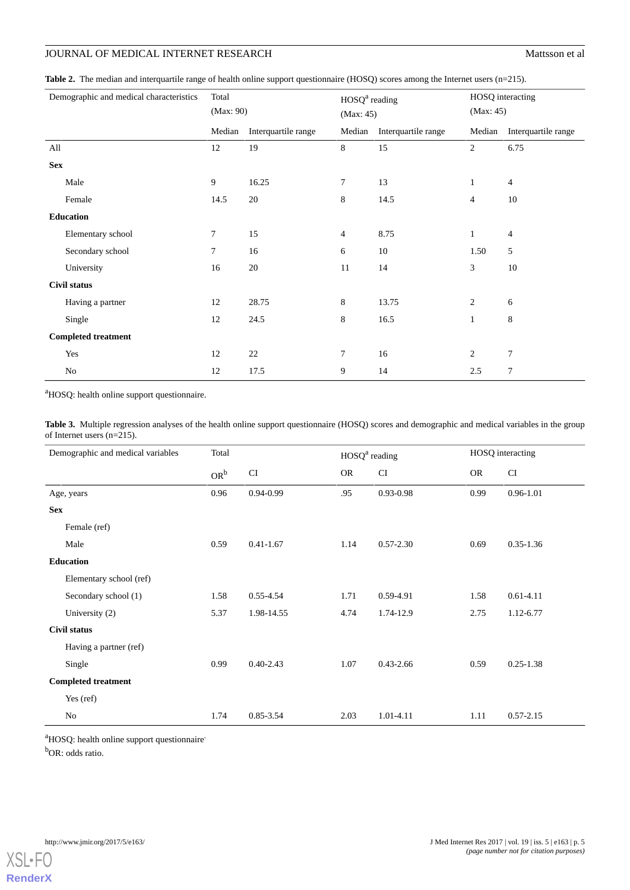### **JOURNAL OF MEDICAL INTERNET RESEARCH MATTER AND MATTER INC.** Mattsson et al.

<span id="page-4-0"></span>**Table 2.** The median and interquartile range of health online support questionnaire (HOSQ) scores among the Internet users (n=215).

|            | Demographic and medical characteristics | Total<br>(Max: 90) |                     | $HOSQa$ reading<br>(Max: 45) |                     | HOSQ interacting<br>(Max: 45) |                     |
|------------|-----------------------------------------|--------------------|---------------------|------------------------------|---------------------|-------------------------------|---------------------|
|            |                                         | Median             | Interquartile range | Median                       | Interquartile range | Median                        | Interquartile range |
| All        |                                         | 12                 | 19                  | 8                            | 15                  | $\overline{c}$                | 6.75                |
| <b>Sex</b> |                                         |                    |                     |                              |                     |                               |                     |
|            | Male                                    | 9                  | 16.25               | $\tau$                       | 13                  | $\mathbf{1}$                  | $\overline{4}$      |
|            | Female                                  | 14.5               | 20                  | 8                            | 14.5                | $\overline{4}$                | 10                  |
|            | <b>Education</b>                        |                    |                     |                              |                     |                               |                     |
|            | Elementary school                       | 7                  | 15                  | 4                            | 8.75                | $\mathbf{1}$                  | $\overline{4}$      |
|            | Secondary school                        | $\tau$             | 16                  | 6                            | 10                  | 1.50                          | 5                   |
|            | University                              | 16                 | 20                  | 11                           | 14                  | 3                             | 10                  |
|            | <b>Civil status</b>                     |                    |                     |                              |                     |                               |                     |
|            | Having a partner                        | 12                 | 28.75               | 8                            | 13.75               | $\overline{c}$                | 6                   |
|            | Single                                  | 12                 | 24.5                | 8                            | 16.5                | $\mathbf{1}$                  | 8                   |
|            | <b>Completed treatment</b>              |                    |                     |                              |                     |                               |                     |
|            | Yes                                     | 12                 | 22                  | 7                            | 16                  | $\overline{c}$                | 7                   |
|            | No                                      | 12                 | 17.5                | 9                            | 14                  | 2.5                           | 7                   |

<span id="page-4-1"></span><sup>a</sup>HOSQ: health online support questionnaire.

**Table 3.** Multiple regression analyses of the health online support questionnaire (HOSQ) scores and demographic and medical variables in the group of Internet users (n=215).

| Demographic and medical variables | Total  |               | HOSQ <sup>a</sup> reading |               | HOSQ interacting |               |
|-----------------------------------|--------|---------------|---------------------------|---------------|------------------|---------------|
|                                   | $OR^b$ | CI            | <b>OR</b>                 | CI            | <b>OR</b>        | CI            |
| Age, years                        | 0.96   | 0.94-0.99     | .95                       | 0.93-0.98     | 0.99             | 0.96-1.01     |
| <b>Sex</b>                        |        |               |                           |               |                  |               |
| Female (ref)                      |        |               |                           |               |                  |               |
| Male                              | 0.59   | $0.41 - 1.67$ | 1.14                      | $0.57 - 2.30$ | 0.69             | $0.35 - 1.36$ |
| <b>Education</b>                  |        |               |                           |               |                  |               |
| Elementary school (ref)           |        |               |                           |               |                  |               |
| Secondary school (1)              | 1.58   | 0.55-4.54     | 1.71                      | 0.59-4.91     | 1.58             | $0.61 - 4.11$ |
| University (2)                    | 5.37   | 1.98-14.55    | 4.74                      | 1.74-12.9     | 2.75             | 1.12-6.77     |
| Civil status                      |        |               |                           |               |                  |               |
| Having a partner (ref)            |        |               |                           |               |                  |               |
| Single                            | 0.99   | $0.40 - 2.43$ | 1.07                      | $0.43 - 2.66$ | 0.59             | $0.25 - 1.38$ |
| <b>Completed treatment</b>        |        |               |                           |               |                  |               |
| Yes (ref)                         |        |               |                           |               |                  |               |
| No                                | 1.74   | 0.85-3.54     | 2.03                      | 1.01-4.11     | 1.11             | $0.57 - 2.15$ |

<sup>a</sup>HOSQ: health online support questionnaire<sup>.</sup>

<sup>b</sup>OR: odds ratio.

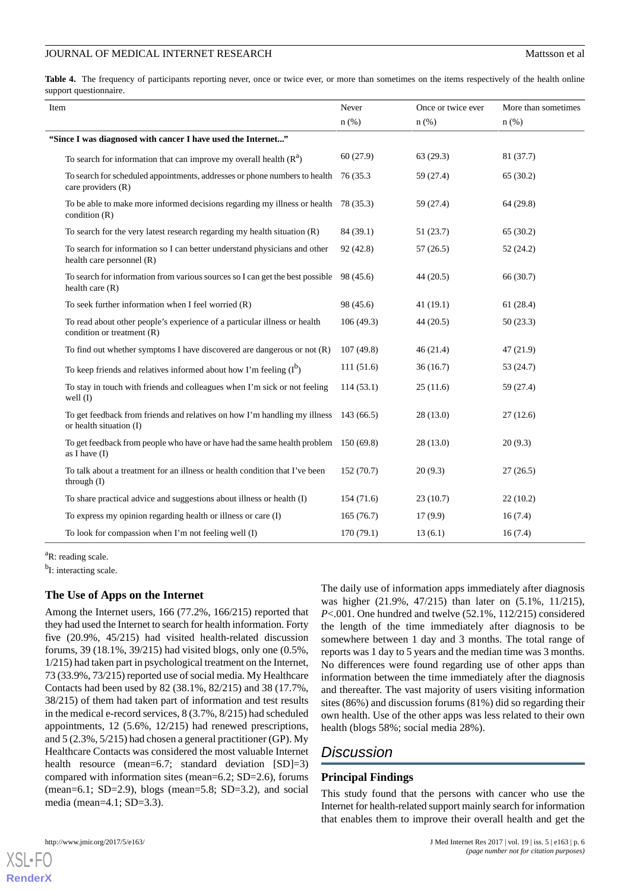### JOURNAL OF MEDICAL INTERNET RESEARCH MATTER AND THE MATTER OF ALL AND MATTER OF ALL AND MATTER OF ALL AND THE MATTER OF ALL AND THE MATTER OF ALL AND THE MATTER OF ALL AND THE MATTER OF ALL AND THE MATTER OF ALL AND THE MA

<span id="page-5-0"></span>Table 4. The frequency of participants reporting never, once or twice ever, or more than sometimes on the items respectively of the health online support questionnaire.

| Item                                                                                                    | Never      | Once or twice ever | More than sometimes |
|---------------------------------------------------------------------------------------------------------|------------|--------------------|---------------------|
|                                                                                                         | $n$ (%)    | $n$ $(\%)$         | $n$ (%)             |
| "Since I was diagnosed with cancer I have used the Internet"                                            |            |                    |                     |
| To search for information that can improve my overall health $(Ra)$                                     | 60(27.9)   | 63(29.3)           | 81 (37.7)           |
| To search for scheduled appointments, addresses or phone numbers to health<br>care providers (R)        | 76 (35.3   | 59 (27.4)          | 65(30.2)            |
| To be able to make more informed decisions regarding my illness or health 78 (35.3)<br>condition $(R)$  |            | 59 (27.4)          | 64(29.8)            |
| To search for the very latest research regarding my health situation $(R)$                              | 84 (39.1)  | 51(23.7)           | 65(30.2)            |
| To search for information so I can better understand physicians and other<br>health care personnel (R)  | 92 (42.8)  | 57(26.5)           | 52(24.2)            |
| To search for information from various sources so I can get the best possible<br>health care $(R)$      | 98 (45.6)  | 44(20.5)           | 66 (30.7)           |
| To seek further information when I feel worried (R)                                                     | 98 (45.6)  | 41(19.1)           | 61(28.4)            |
| To read about other people's experience of a particular illness or health<br>condition or treatment (R) | 106(49.3)  | 44(20.5)           | 50(23.3)            |
| To find out whether symptoms I have discovered are dangerous or not $(R)$                               | 107(49.8)  | 46(21.4)           | 47(21.9)            |
| To keep friends and relatives informed about how I'm feeling $(I^b)$                                    | 111(51.6)  | 36(16.7)           | 53 (24.7)           |
| To stay in touch with friends and colleagues when I'm sick or not feeling<br>well $(I)$                 | 114(53.1)  | 25(11.6)           | 59 (27.4)           |
| To get feedback from friends and relatives on how I'm handling my illness<br>or health situation (I)    | 143(66.5)  | 28(13.0)           | 27(12.6)            |
| To get feedback from people who have or have had the same health problem 150 (69.8)<br>as I have $(I)$  |            | 28(13.0)           | 20(9.3)             |
| To talk about a treatment for an illness or health condition that I've been<br>through $(I)$            | 152(70.7)  | 20(9.3)            | 27(26.5)            |
| To share practical advice and suggestions about illness or health (I)                                   | 154(71.6)  | 23(10.7)           | 22(10.2)            |
| To express my opinion regarding health or illness or care (I)                                           | 165(76.7)  | 17(9.9)            | 16(7.4)             |
| To look for compassion when I'm not feeling well (I)                                                    | 170 (79.1) | 13(6.1)            | 16(7.4)             |

<sup>a</sup>R: reading scale.

<sup>b</sup>I: interacting scale.

### **The Use of Apps on the Internet**

Among the Internet users, 166 (77.2%, 166/215) reported that they had used the Internet to search for health information. Forty five (20.9%, 45/215) had visited health-related discussion forums, 39 (18.1%, 39/215) had visited blogs, only one (0.5%, 1/215) had taken part in psychological treatment on the Internet, 73 (33.9%, 73/215) reported use of social media. My Healthcare Contacts had been used by 82 (38.1%, 82/215) and 38 (17.7%, 38/215) of them had taken part of information and test results in the medical e-record services, 8 (3.7%, 8/215) had scheduled appointments, 12 (5.6%, 12/215) had renewed prescriptions, and 5 (2.3%, 5/215) had chosen a general practitioner (GP). My Healthcare Contacts was considered the most valuable Internet health resource (mean=6.7; standard deviation [SD]=3) compared with information sites (mean=6.2; SD=2.6), forums (mean=6.1; SD=2.9), blogs (mean=5.8; SD=3.2), and social media (mean=4.1; SD=3.3).

The daily use of information apps immediately after diagnosis was higher (21.9%, 47/215) than later on (5.1%, 11/215), *P*<.001. One hundred and twelve (52.1%, 112/215) considered the length of the time immediately after diagnosis to be somewhere between 1 day and 3 months. The total range of reports was 1 day to 5 years and the median time was 3 months. No differences were found regarding use of other apps than information between the time immediately after the diagnosis and thereafter. The vast majority of users visiting information sites (86%) and discussion forums (81%) did so regarding their own health. Use of the other apps was less related to their own health (blogs 58%; social media 28%).

# *Discussion*

### **Principal Findings**

This study found that the persons with cancer who use the Internet for health-related support mainly search for information that enables them to improve their overall health and get the

[XSL](http://www.w3.org/Style/XSL)•FO **[RenderX](http://www.renderx.com/)**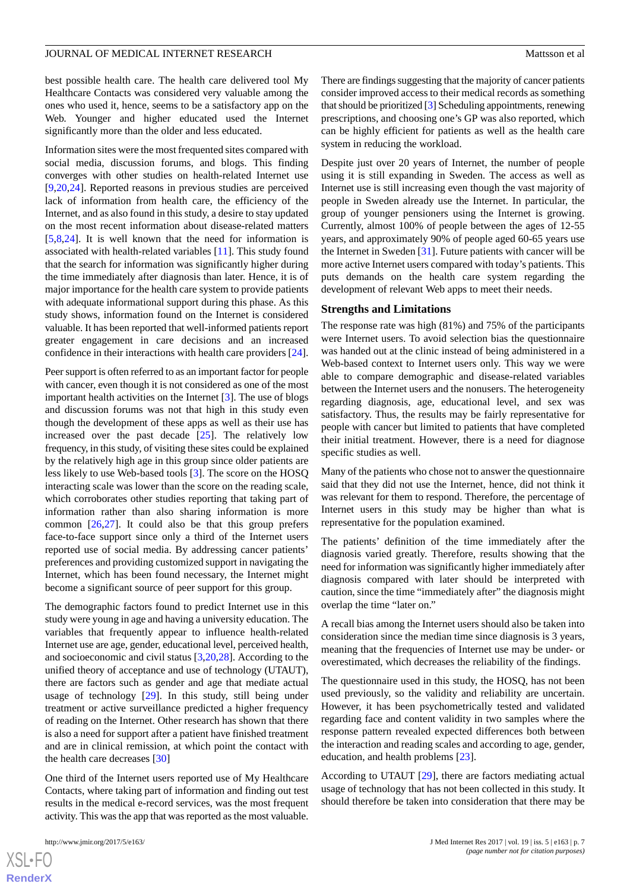### JOURNAL OF MEDICAL INTERNET RESEARCH MATTER AND THE MATTER OF ALL AND MATTER OF ALL AND MATTERNET RESEARCH

best possible health care. The health care delivered tool My Healthcare Contacts was considered very valuable among the ones who used it, hence, seems to be a satisfactory app on the Web. Younger and higher educated used the Internet significantly more than the older and less educated.

Information sites were the most frequented sites compared with social media, discussion forums, and blogs. This finding converges with other studies on health-related Internet use [[9](#page-7-8)[,20](#page-8-7),[24\]](#page-8-11). Reported reasons in previous studies are perceived lack of information from health care, the efficiency of the Internet, and as also found in this study, a desire to stay updated on the most recent information about disease-related matters [[5](#page-7-4)[,8](#page-7-7),[24\]](#page-8-11). It is well known that the need for information is associated with health-related variables [[11\]](#page-7-10). This study found that the search for information was significantly higher during the time immediately after diagnosis than later. Hence, it is of major importance for the health care system to provide patients with adequate informational support during this phase. As this study shows, information found on the Internet is considered valuable. It has been reported that well-informed patients report greater engagement in care decisions and an increased confidence in their interactions with health care providers [[24\]](#page-8-11).

Peer support is often referred to as an important factor for people with cancer, even though it is not considered as one of the most important health activities on the Internet [\[3\]](#page-7-2). The use of blogs and discussion forums was not that high in this study even though the development of these apps as well as their use has increased over the past decade [\[25](#page-8-12)]. The relatively low frequency, in this study, of visiting these sites could be explained by the relatively high age in this group since older patients are less likely to use Web-based tools [[3\]](#page-7-2). The score on the HOSQ interacting scale was lower than the score on the reading scale, which corroborates other studies reporting that taking part of information rather than also sharing information is more common [\[26](#page-8-13),[27\]](#page-8-14). It could also be that this group prefers face-to-face support since only a third of the Internet users reported use of social media. By addressing cancer patients' preferences and providing customized support in navigating the Internet, which has been found necessary, the Internet might become a significant source of peer support for this group.

The demographic factors found to predict Internet use in this study were young in age and having a university education. The variables that frequently appear to influence health-related Internet use are age, gender, educational level, perceived health, and socioeconomic and civil status [[3,](#page-7-2)[20](#page-8-7),[28\]](#page-8-15). According to the unified theory of acceptance and use of technology (UTAUT), there are factors such as gender and age that mediate actual usage of technology [\[29](#page-8-16)]. In this study, still being under treatment or active surveillance predicted a higher frequency of reading on the Internet. Other research has shown that there is also a need for support after a patient have finished treatment and are in clinical remission, at which point the contact with the health care decreases [[30\]](#page-8-17)

One third of the Internet users reported use of My Healthcare Contacts, where taking part of information and finding out test results in the medical e-record services, was the most frequent activity. This was the app that was reported as the most valuable.

There are findings suggesting that the majority of cancer patients consider improved access to their medical records as something that should be prioritized [\[3](#page-7-2)] Scheduling appointments, renewing prescriptions, and choosing one's GP was also reported, which can be highly efficient for patients as well as the health care system in reducing the workload.

Despite just over 20 years of Internet, the number of people using it is still expanding in Sweden. The access as well as Internet use is still increasing even though the vast majority of people in Sweden already use the Internet. In particular, the group of younger pensioners using the Internet is growing. Currently, almost 100% of people between the ages of 12-55 years, and approximately 90% of people aged 60-65 years use the Internet in Sweden [\[31](#page-8-18)]. Future patients with cancer will be more active Internet users compared with today's patients. This puts demands on the health care system regarding the development of relevant Web apps to meet their needs.

#### **Strengths and Limitations**

The response rate was high (81%) and 75% of the participants were Internet users. To avoid selection bias the questionnaire was handed out at the clinic instead of being administered in a Web-based context to Internet users only. This way we were able to compare demographic and disease-related variables between the Internet users and the nonusers. The heterogeneity regarding diagnosis, age, educational level, and sex was satisfactory. Thus, the results may be fairly representative for people with cancer but limited to patients that have completed their initial treatment. However, there is a need for diagnose specific studies as well.

Many of the patients who chose not to answer the questionnaire said that they did not use the Internet, hence, did not think it was relevant for them to respond. Therefore, the percentage of Internet users in this study may be higher than what is representative for the population examined.

The patients' definition of the time immediately after the diagnosis varied greatly. Therefore, results showing that the need for information was significantly higher immediately after diagnosis compared with later should be interpreted with caution, since the time "immediately after" the diagnosis might overlap the time "later on."

A recall bias among the Internet users should also be taken into consideration since the median time since diagnosis is 3 years, meaning that the frequencies of Internet use may be under- or overestimated, which decreases the reliability of the findings.

The questionnaire used in this study, the HOSQ, has not been used previously, so the validity and reliability are uncertain. However, it has been psychometrically tested and validated regarding face and content validity in two samples where the response pattern revealed expected differences both between the interaction and reading scales and according to age, gender, education, and health problems [\[23](#page-8-10)].

According to UTAUT [\[29](#page-8-16)], there are factors mediating actual usage of technology that has not been collected in this study. It should therefore be taken into consideration that there may be

 $XS$ -FO **[RenderX](http://www.renderx.com/)**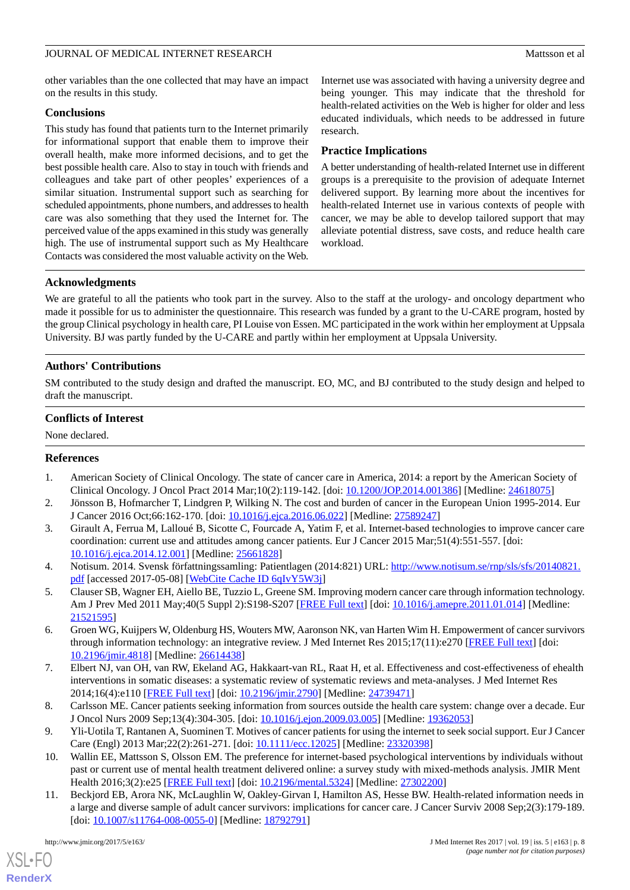### JOURNAL OF MEDICAL INTERNET RESEARCH MATTER AND THE MATTER OF MATTER OF ALL AND MATTER OF ALL AND MATTER OF ALL AND MATTER OF ALL AND MATTER OF ALL AND MATTER OF ALL AND MATTER OF ALL AND MATTER OF ALL AND MATTER OF ALL AN

other variables than the one collected that may have an impact on the results in this study.

### **Conclusions**

This study has found that patients turn to the Internet primarily for informational support that enable them to improve their overall health, make more informed decisions, and to get the best possible health care. Also to stay in touch with friends and colleagues and take part of other peoples' experiences of a similar situation. Instrumental support such as searching for scheduled appointments, phone numbers, and addresses to health care was also something that they used the Internet for. The perceived value of the apps examined in this study was generally high. The use of instrumental support such as My Healthcare Contacts was considered the most valuable activity on the Web.

Internet use was associated with having a university degree and being younger. This may indicate that the threshold for health-related activities on the Web is higher for older and less educated individuals, which needs to be addressed in future research.

### **Practice Implications**

A better understanding of health-related Internet use in different groups is a prerequisite to the provision of adequate Internet delivered support. By learning more about the incentives for health-related Internet use in various contexts of people with cancer, we may be able to develop tailored support that may alleviate potential distress, save costs, and reduce health care workload.

### **Acknowledgments**

We are grateful to all the patients who took part in the survey. Also to the staff at the urology- and oncology department who made it possible for us to administer the questionnaire. This research was funded by a grant to the U-CARE program, hosted by the group Clinical psychology in health care, PI Louise von Essen. MC participated in the work within her employment at Uppsala University. BJ was partly funded by the U-CARE and partly within her employment at Uppsala University.

### **Authors' Contributions**

SM contributed to the study design and drafted the manuscript. EO, MC, and BJ contributed to the study design and helped to draft the manuscript.

### **Conflicts of Interest**

<span id="page-7-0"></span>None declared.

#### <span id="page-7-1"></span>**References**

- <span id="page-7-2"></span>1. American Society of Clinical Oncology. The state of cancer care in America, 2014: a report by the American Society of Clinical Oncology. J Oncol Pract 2014 Mar;10(2):119-142. [doi: [10.1200/JOP.2014.001386\]](http://dx.doi.org/10.1200/JOP.2014.001386) [Medline: [24618075\]](http://www.ncbi.nlm.nih.gov/entrez/query.fcgi?cmd=Retrieve&db=PubMed&list_uids=24618075&dopt=Abstract)
- <span id="page-7-3"></span>2. Jönsson B, Hofmarcher T, Lindgren P, Wilking N. The cost and burden of cancer in the European Union 1995-2014. Eur J Cancer 2016 Oct;66:162-170. [doi: [10.1016/j.ejca.2016.06.022](http://dx.doi.org/10.1016/j.ejca.2016.06.022)] [Medline: [27589247\]](http://www.ncbi.nlm.nih.gov/entrez/query.fcgi?cmd=Retrieve&db=PubMed&list_uids=27589247&dopt=Abstract)
- <span id="page-7-4"></span>3. Girault A, Ferrua M, Lalloué B, Sicotte C, Fourcade A, Yatim F, et al. Internet-based technologies to improve cancer care coordination: current use and attitudes among cancer patients. Eur J Cancer 2015 Mar;51(4):551-557. [doi: [10.1016/j.ejca.2014.12.001\]](http://dx.doi.org/10.1016/j.ejca.2014.12.001) [Medline: [25661828\]](http://www.ncbi.nlm.nih.gov/entrez/query.fcgi?cmd=Retrieve&db=PubMed&list_uids=25661828&dopt=Abstract)
- <span id="page-7-5"></span>4. Notisum. 2014. Svensk författningssamling: Patientlagen (2014:821) URL: [http://www.notisum.se/rnp/sls/sfs/20140821.](http://www.notisum.se/rnp/sls/sfs/20140821.pdf) [pdf](http://www.notisum.se/rnp/sls/sfs/20140821.pdf) [accessed 2017-05-08] [[WebCite Cache ID 6qIvY5W3j](http://www.webcitation.org/

                                            6qIvY5W3j)]
- <span id="page-7-6"></span>5. Clauser SB, Wagner EH, Aiello BE, Tuzzio L, Greene SM. Improving modern cancer care through information technology. Am J Prev Med 2011 May;40(5 Suppl 2):S198-S207 [[FREE Full text\]](http://europepmc.org/abstract/MED/21521595) [doi: [10.1016/j.amepre.2011.01.014\]](http://dx.doi.org/10.1016/j.amepre.2011.01.014) [Medline: [21521595](http://www.ncbi.nlm.nih.gov/entrez/query.fcgi?cmd=Retrieve&db=PubMed&list_uids=21521595&dopt=Abstract)]
- <span id="page-7-7"></span>6. Groen WG, Kuijpers W, Oldenburg HS, Wouters MW, Aaronson NK, van Harten Wim H. Empowerment of cancer survivors through information technology: an integrative review. J Med Internet Res 2015;17(11):e270 [\[FREE Full text\]](http://www.jmir.org/2015/11/e270/) [doi: [10.2196/jmir.4818](http://dx.doi.org/10.2196/jmir.4818)] [Medline: [26614438](http://www.ncbi.nlm.nih.gov/entrez/query.fcgi?cmd=Retrieve&db=PubMed&list_uids=26614438&dopt=Abstract)]
- <span id="page-7-9"></span><span id="page-7-8"></span>7. Elbert NJ, van OH, van RW, Ekeland AG, Hakkaart-van RL, Raat H, et al. Effectiveness and cost-effectiveness of ehealth interventions in somatic diseases: a systematic review of systematic reviews and meta-analyses. J Med Internet Res 2014;16(4):e110 [\[FREE Full text](http://www.jmir.org/2014/4/e110/)] [doi: [10.2196/jmir.2790](http://dx.doi.org/10.2196/jmir.2790)] [Medline: [24739471](http://www.ncbi.nlm.nih.gov/entrez/query.fcgi?cmd=Retrieve&db=PubMed&list_uids=24739471&dopt=Abstract)]
- <span id="page-7-10"></span>8. Carlsson ME. Cancer patients seeking information from sources outside the health care system: change over a decade. Eur J Oncol Nurs 2009 Sep;13(4):304-305. [doi: [10.1016/j.ejon.2009.03.005](http://dx.doi.org/10.1016/j.ejon.2009.03.005)] [Medline: [19362053](http://www.ncbi.nlm.nih.gov/entrez/query.fcgi?cmd=Retrieve&db=PubMed&list_uids=19362053&dopt=Abstract)]
- 9. Yli-Uotila T, Rantanen A, Suominen T. Motives of cancer patients for using the internet to seek social support. Eur J Cancer Care (Engl) 2013 Mar;22(2):261-271. [doi: [10.1111/ecc.12025](http://dx.doi.org/10.1111/ecc.12025)] [Medline: [23320398\]](http://www.ncbi.nlm.nih.gov/entrez/query.fcgi?cmd=Retrieve&db=PubMed&list_uids=23320398&dopt=Abstract)
- 10. Wallin EE, Mattsson S, Olsson EM. The preference for internet-based psychological interventions by individuals without past or current use of mental health treatment delivered online: a survey study with mixed-methods analysis. JMIR Ment Health 2016;3(2):e25 [\[FREE Full text\]](http://mental.jmir.org/2016/2/e25/) [doi: [10.2196/mental.5324\]](http://dx.doi.org/10.2196/mental.5324) [Medline: [27302200\]](http://www.ncbi.nlm.nih.gov/entrez/query.fcgi?cmd=Retrieve&db=PubMed&list_uids=27302200&dopt=Abstract)
- 11. Beckjord EB, Arora NK, McLaughlin W, Oakley-Girvan I, Hamilton AS, Hesse BW. Health-related information needs in a large and diverse sample of adult cancer survivors: implications for cancer care. J Cancer Surviv 2008 Sep;2(3):179-189. [doi: [10.1007/s11764-008-0055-0](http://dx.doi.org/10.1007/s11764-008-0055-0)] [Medline: [18792791\]](http://www.ncbi.nlm.nih.gov/entrez/query.fcgi?cmd=Retrieve&db=PubMed&list_uids=18792791&dopt=Abstract)

[XSL](http://www.w3.org/Style/XSL)•FO **[RenderX](http://www.renderx.com/)**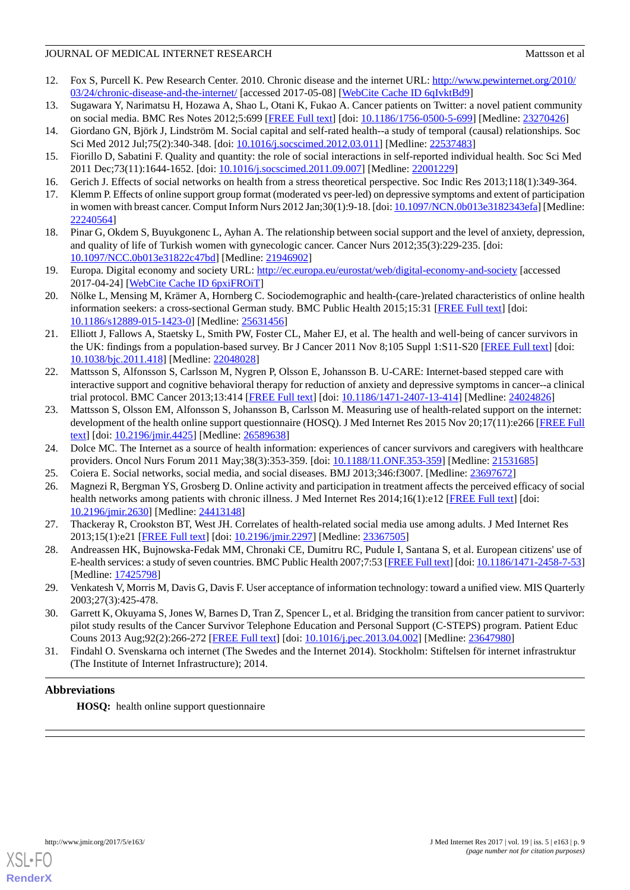### JOURNAL OF MEDICAL INTERNET RESEARCH MATTER AND THE MATTER OF MATTER OF ALL AND MATTER OF ALL AND MATTER OF ALL AND THE MATTER OF ALL AND THE MATTER OF ALL AND THE MATTER OF ALL AND THE MATTER OF ALL AND THE MATTER OF ALL

- <span id="page-8-0"></span>12. Fox S, Purcell K. Pew Research Center. 2010. Chronic disease and the internet URL: [http://www.pewinternet.org/2010/](http://www.pewinternet.org/2010/03/24/chronic-disease-and-the-internet/) [03/24/chronic-disease-and-the-internet/](http://www.pewinternet.org/2010/03/24/chronic-disease-and-the-internet/) [accessed 2017-05-08] [\[WebCite Cache ID 6qIvktBd9\]](http://www.webcitation.org/

                                            6qIvktBd9)
- <span id="page-8-2"></span><span id="page-8-1"></span>13. Sugawara Y, Narimatsu H, Hozawa A, Shao L, Otani K, Fukao A. Cancer patients on Twitter: a novel patient community on social media. BMC Res Notes 2012;5:699 [[FREE Full text](http://www.biomedcentral.com/1756-0500/5/699)] [doi: [10.1186/1756-0500-5-699\]](http://dx.doi.org/10.1186/1756-0500-5-699) [Medline: [23270426](http://www.ncbi.nlm.nih.gov/entrez/query.fcgi?cmd=Retrieve&db=PubMed&list_uids=23270426&dopt=Abstract)]
- 14. Giordano GN, Björk J, Lindström M. Social capital and self-rated health--a study of temporal (causal) relationships. Soc Sci Med 2012 Jul;75(2):340-348. [doi: [10.1016/j.socscimed.2012.03.011](http://dx.doi.org/10.1016/j.socscimed.2012.03.011)] [Medline: [22537483](http://www.ncbi.nlm.nih.gov/entrez/query.fcgi?cmd=Retrieve&db=PubMed&list_uids=22537483&dopt=Abstract)]
- <span id="page-8-3"></span>15. Fiorillo D, Sabatini F. Quality and quantity: the role of social interactions in self-reported individual health. Soc Sci Med 2011 Dec;73(11):1644-1652. [doi: [10.1016/j.socscimed.2011.09.007\]](http://dx.doi.org/10.1016/j.socscimed.2011.09.007) [Medline: [22001229\]](http://www.ncbi.nlm.nih.gov/entrez/query.fcgi?cmd=Retrieve&db=PubMed&list_uids=22001229&dopt=Abstract)
- <span id="page-8-4"></span>16. Gerich J. Effects of social networks on health from a stress theoretical perspective. Soc Indic Res 2013;118(1):349-364.
- <span id="page-8-5"></span>17. Klemm P. Effects of online support group format (moderated vs peer-led) on depressive symptoms and extent of participation in women with breast cancer. Comput Inform Nurs 2012 Jan;30(1):9-18. [doi: [10.1097/NCN.0b013e3182343efa](http://dx.doi.org/10.1097/NCN.0b013e3182343efa)] [Medline: [22240564](http://www.ncbi.nlm.nih.gov/entrez/query.fcgi?cmd=Retrieve&db=PubMed&list_uids=22240564&dopt=Abstract)]
- <span id="page-8-6"></span>18. Pinar G, Okdem S, Buyukgonenc L, Ayhan A. The relationship between social support and the level of anxiety, depression, and quality of life of Turkish women with gynecologic cancer. Cancer Nurs 2012;35(3):229-235. [doi: [10.1097/NCC.0b013e31822c47bd\]](http://dx.doi.org/10.1097/NCC.0b013e31822c47bd) [Medline: [21946902\]](http://www.ncbi.nlm.nih.gov/entrez/query.fcgi?cmd=Retrieve&db=PubMed&list_uids=21946902&dopt=Abstract)
- <span id="page-8-7"></span>19. Europa. Digital economy and society URL: <http://ec.europa.eu/eurostat/web/digital-economy-and-society> [accessed 2017-04-24] [\[WebCite Cache ID 6pxiFROiT\]](http://www.webcitation.org/

                                            6pxiFROiT)
- <span id="page-8-8"></span>20. Nölke L, Mensing M, Krämer A, Hornberg C. Sociodemographic and health-(care-)related characteristics of online health information seekers: a cross-sectional German study. BMC Public Health 2015;15:31 [[FREE Full text](http://bmcpublichealth.biomedcentral.com/articles/10.1186/s12889-015-1423-0)] [doi: [10.1186/s12889-015-1423-0\]](http://dx.doi.org/10.1186/s12889-015-1423-0) [Medline: [25631456](http://www.ncbi.nlm.nih.gov/entrez/query.fcgi?cmd=Retrieve&db=PubMed&list_uids=25631456&dopt=Abstract)]
- <span id="page-8-9"></span>21. Elliott J, Fallows A, Staetsky L, Smith PW, Foster CL, Maher EJ, et al. The health and well-being of cancer survivors in the UK: findings from a population-based survey. Br J Cancer 2011 Nov 8;105 Suppl 1:S11-S20 [[FREE Full text](http://dx.doi.org/10.1038/bjc.2011.418)] [doi: [10.1038/bjc.2011.418](http://dx.doi.org/10.1038/bjc.2011.418)] [Medline: [22048028\]](http://www.ncbi.nlm.nih.gov/entrez/query.fcgi?cmd=Retrieve&db=PubMed&list_uids=22048028&dopt=Abstract)
- <span id="page-8-10"></span>22. Mattsson S, Alfonsson S, Carlsson M, Nygren P, Olsson E, Johansson B. U-CARE: Internet-based stepped care with interactive support and cognitive behavioral therapy for reduction of anxiety and depressive symptoms in cancer--a clinical trial protocol. BMC Cancer 2013;13:414 [\[FREE Full text\]](http://www.biomedcentral.com/1471-2407/13/414) [doi: [10.1186/1471-2407-13-414](http://dx.doi.org/10.1186/1471-2407-13-414)] [Medline: [24024826](http://www.ncbi.nlm.nih.gov/entrez/query.fcgi?cmd=Retrieve&db=PubMed&list_uids=24024826&dopt=Abstract)]
- <span id="page-8-12"></span><span id="page-8-11"></span>23. Mattsson S, Olsson EM, Alfonsson S, Johansson B, Carlsson M. Measuring use of health-related support on the internet: development of the health online support questionnaire (HOSQ). J Med Internet Res 2015 Nov 20;17(11):e266 [\[FREE Full](http://www.jmir.org/2015/11/e266/) [text](http://www.jmir.org/2015/11/e266/)] [doi: [10.2196/jmir.4425](http://dx.doi.org/10.2196/jmir.4425)] [Medline: [26589638](http://www.ncbi.nlm.nih.gov/entrez/query.fcgi?cmd=Retrieve&db=PubMed&list_uids=26589638&dopt=Abstract)]
- <span id="page-8-13"></span>24. Dolce MC. The Internet as a source of health information: experiences of cancer survivors and caregivers with healthcare providers. Oncol Nurs Forum 2011 May;38(3):353-359. [doi: [10.1188/11.ONF.353-359\]](http://dx.doi.org/10.1188/11.ONF.353-359) [Medline: [21531685](http://www.ncbi.nlm.nih.gov/entrez/query.fcgi?cmd=Retrieve&db=PubMed&list_uids=21531685&dopt=Abstract)]
- <span id="page-8-14"></span>25. Coiera E. Social networks, social media, and social diseases. BMJ 2013;346:f3007. [Medline: [23697672](http://www.ncbi.nlm.nih.gov/entrez/query.fcgi?cmd=Retrieve&db=PubMed&list_uids=23697672&dopt=Abstract)]
- <span id="page-8-15"></span>26. Magnezi R, Bergman YS, Grosberg D. Online activity and participation in treatment affects the perceived efficacy of social health networks among patients with chronic illness. J Med Internet Res 2014;16(1):e12 [[FREE Full text](http://www.jmir.org/2014/1/e12/)] [doi: [10.2196/jmir.2630](http://dx.doi.org/10.2196/jmir.2630)] [Medline: [24413148](http://www.ncbi.nlm.nih.gov/entrez/query.fcgi?cmd=Retrieve&db=PubMed&list_uids=24413148&dopt=Abstract)]
- <span id="page-8-16"></span>27. Thackeray R, Crookston BT, West JH. Correlates of health-related social media use among adults. J Med Internet Res 2013;15(1):e21 [\[FREE Full text](http://www.jmir.org/2013/1/e21/)] [doi: [10.2196/jmir.2297\]](http://dx.doi.org/10.2196/jmir.2297) [Medline: [23367505](http://www.ncbi.nlm.nih.gov/entrez/query.fcgi?cmd=Retrieve&db=PubMed&list_uids=23367505&dopt=Abstract)]
- <span id="page-8-17"></span>28. Andreassen HK, Bujnowska-Fedak MM, Chronaki CE, Dumitru RC, Pudule I, Santana S, et al. European citizens' use of E-health services: a study of seven countries. BMC Public Health 2007;7:53 [\[FREE Full text](http://www.biomedcentral.com/1471-2458/7/53)] [doi: [10.1186/1471-2458-7-53\]](http://dx.doi.org/10.1186/1471-2458-7-53) [Medline: [17425798](http://www.ncbi.nlm.nih.gov/entrez/query.fcgi?cmd=Retrieve&db=PubMed&list_uids=17425798&dopt=Abstract)]
- <span id="page-8-18"></span>29. Venkatesh V, Morris M, Davis G, Davis F. User acceptance of information technology: toward a unified view. MIS Quarterly 2003;27(3):425-478.
- 30. Garrett K, Okuyama S, Jones W, Barnes D, Tran Z, Spencer L, et al. Bridging the transition from cancer patient to survivor: pilot study results of the Cancer Survivor Telephone Education and Personal Support (C-STEPS) program. Patient Educ Couns 2013 Aug;92(2):266-272 [[FREE Full text](http://europepmc.org/abstract/MED/23647980)] [doi: [10.1016/j.pec.2013.04.002](http://dx.doi.org/10.1016/j.pec.2013.04.002)] [Medline: [23647980](http://www.ncbi.nlm.nih.gov/entrez/query.fcgi?cmd=Retrieve&db=PubMed&list_uids=23647980&dopt=Abstract)]
- 31. Findahl O. Svenskarna och internet (The Swedes and the Internet 2014). Stockholm: Stiftelsen för internet infrastruktur (The Institute of Internet Infrastructure); 2014.

### **Abbreviations**

**HOSQ:** health online support questionnaire